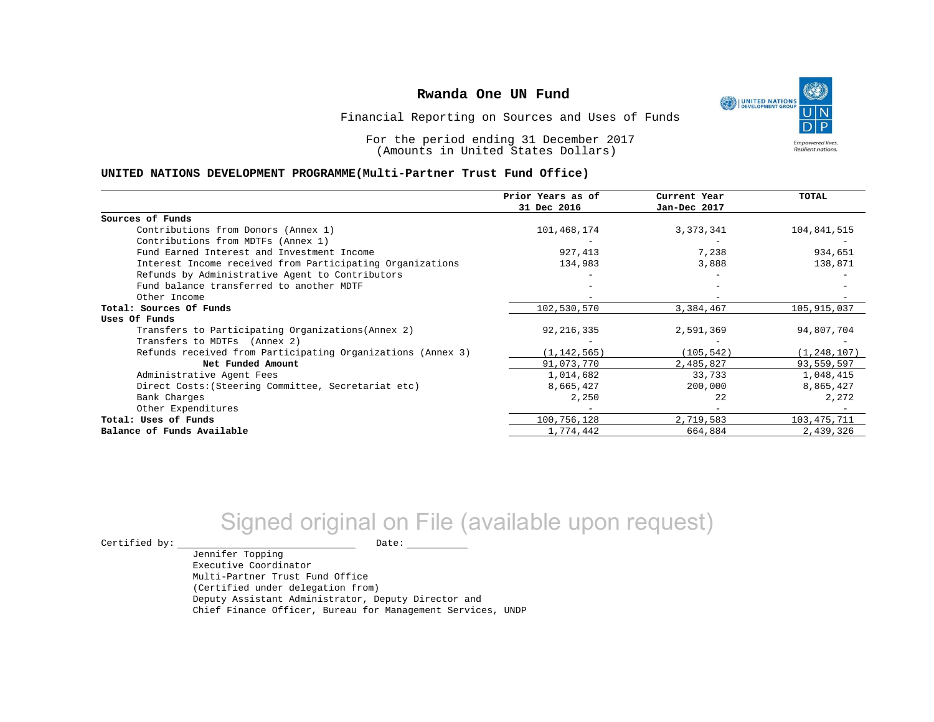

Financial Reporting on Sources and Uses of Funds

For the period ending 31 December 2017 (Amounts in United States Dollars)

#### **UNITED NATIONS DEVELOPMENT PROGRAMME(Multi-Partner Trust Fund Office)**

|                                                             | Prior Years as of | Current Year | <b>TOTAL</b>  |
|-------------------------------------------------------------|-------------------|--------------|---------------|
|                                                             | 31 Dec 2016       | Jan-Dec 2017 |               |
| Sources of Funds                                            |                   |              |               |
| Contributions from Donors (Annex 1)                         | 101,468,174       | 3,373,341    | 104,841,515   |
| Contributions from MDTFs (Annex 1)                          |                   |              |               |
| Fund Earned Interest and Investment Income                  | 927,413           | 7,238        | 934,651       |
| Interest Income received from Participating Organizations   | 134,983           | 3,888        | 138,871       |
| Refunds by Administrative Agent to Contributors             |                   |              |               |
| Fund balance transferred to another MDTF                    |                   |              |               |
| Other Income                                                |                   |              |               |
| Total: Sources Of Funds                                     | 102,530,570       | 3,384,467    | 105,915,037   |
| Uses Of Funds                                               |                   |              |               |
| Transfers to Participating Organizations (Annex 2)          | 92, 216, 335      | 2,591,369    | 94,807,704    |
| Transfers to MDTFs (Annex 2)                                |                   |              |               |
| Refunds received from Participating Organizations (Annex 3) | (1, 142, 565)     | (105, 542)   | (1, 248, 107) |
| Net Funded Amount                                           | 91,073,770        | 2,485,827    | 93,559,597    |
| Administrative Agent Fees                                   | 1,014,682         | 33,733       | 1,048,415     |
| Direct Costs: (Steering Committee, Secretariat etc)         | 8,665,427         | 200,000      | 8,865,427     |
| Bank Charges                                                | 2,250             | 2.2          | 2,272         |
| Other Expenditures                                          |                   |              |               |
| Total: Uses of Funds                                        | 100,756,128       | 2,719,583    | 103,475,711   |
| Balance of Funds Available                                  | 1,774,442         | 664,884      | 2,439,326     |

# Signed original on File (available upon request)

Certified by: Date:

Jennifer Topping

Executive Coordinator Multi-Partner Trust Fund Office (Certified under delegation from) Deputy Assistant Administrator, Deputy Director and Chief Finance Officer, Bureau for Management Services, UNDP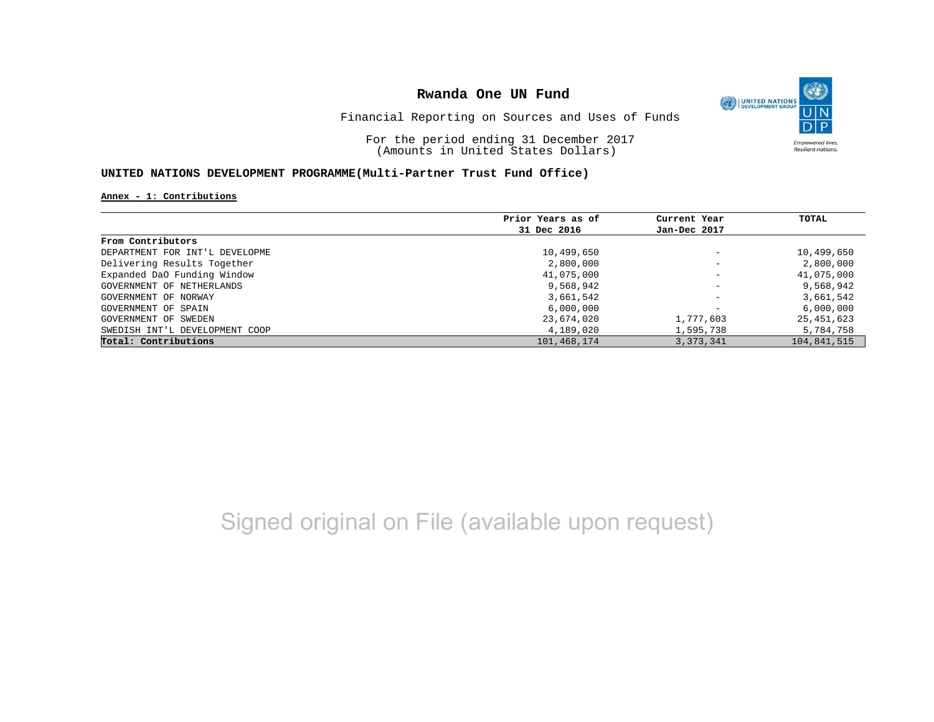

Financial Reporting on Sources and Uses of Funds

For the period ending 31 December 2017 (Amounts in United States Dollars)

#### **UNITED NATIONS DEVELOPMENT PROGRAMME(Multi-Partner Trust Fund Office)**

**Annex - 1: Contributions**

|                                | Prior Years as of | Current Year             | TOTAL       |
|--------------------------------|-------------------|--------------------------|-------------|
|                                | 31 Dec 2016       | Jan-Dec 2017             |             |
| From Contributors              |                   |                          |             |
| DEPARTMENT FOR INT'L DEVELOPME | 10,499,650        | $\overline{\phantom{m}}$ | 10,499,650  |
| Delivering Results Together    | 2,800,000         | $\overline{\phantom{0}}$ | 2,800,000   |
| Expanded DaO Funding Window    | 41,075,000        | $\overline{\phantom{0}}$ | 41,075,000  |
| GOVERNMENT OF NETHERLANDS      | 9,568,942         | $\overline{\phantom{a}}$ | 9,568,942   |
| GOVERNMENT OF NORWAY           | 3,661,542         | $\overline{\phantom{a}}$ | 3,661,542   |
| GOVERNMENT OF SPAIN            | 6,000,000         | $\overline{\phantom{0}}$ | 6,000,000   |
| GOVERNMENT OF SWEDEN           | 23,674,020        | 1,777,603                | 25,451,623  |
| SWEDISH INT'L DEVELOPMENT COOP | 4,189,020         | 1,595,738                | 5,784,758   |
| Total: Contributions           | 101,468,174       | 3, 373, 341              | 104,841,515 |

# Signed original on File (available upon request)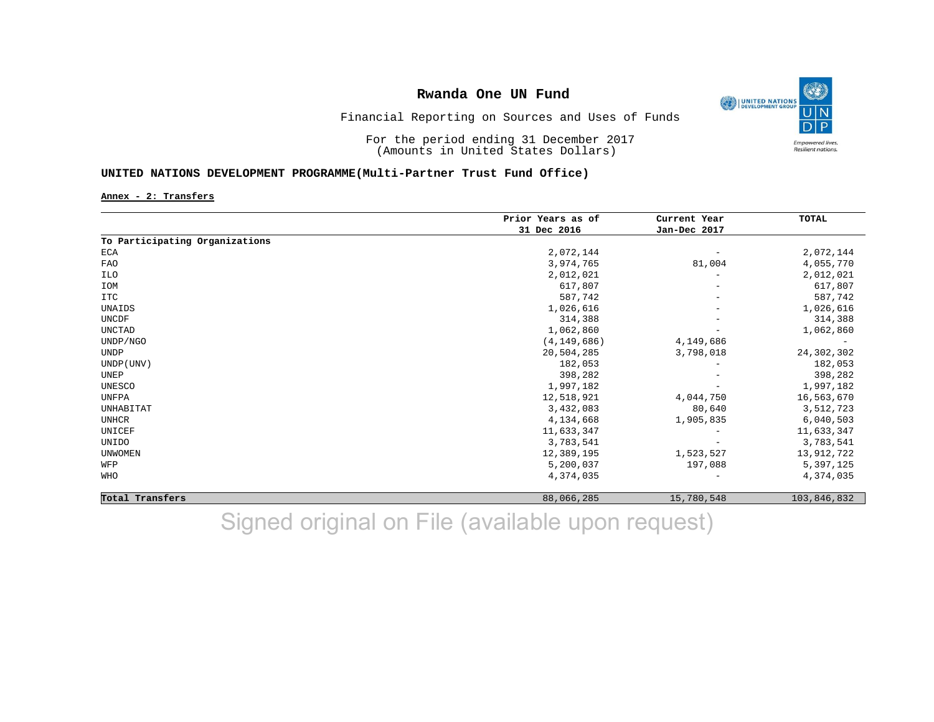

Financial Reporting on Sources and Uses of Funds

For the period ending 31 December 2017 (Amounts in United States Dollars)

### **UNITED NATIONS DEVELOPMENT PROGRAMME(Multi-Partner Trust Fund Office)**

**Annex - 2: Transfers**

|                                | Prior Years as of<br>31 Dec 2016 | Current Year<br>Jan-Dec 2017 | TOTAL       |
|--------------------------------|----------------------------------|------------------------------|-------------|
|                                |                                  |                              |             |
| To Participating Organizations |                                  |                              |             |
| ECA                            | 2,072,144                        | $\overline{\phantom{0}}$     | 2,072,144   |
| FAO                            | 3,974,765                        | 81,004                       | 4,055,770   |
| ILO                            | 2,012,021                        | $\overline{\phantom{0}}$     | 2,012,021   |
| IOM                            | 617,807                          |                              | 617,807     |
| <b>ITC</b>                     | 587,742                          | -                            | 587,742     |
| UNAIDS                         | 1,026,616                        |                              | 1,026,616   |
| UNCDF                          | 314,388                          |                              | 314,388     |
| UNCTAD                         | 1,062,860                        |                              | 1,062,860   |
| UNDP/NGO                       | (4, 149, 686)                    | 4,149,686                    |             |
| UNDP                           | 20,504,285                       | 3,798,018                    | 24,302,302  |
| UNDP (UNV)                     | 182,053                          |                              | 182,053     |
| UNEP                           | 398,282                          |                              | 398,282     |
| UNESCO                         | 1,997,182                        |                              | 1,997,182   |
| UNFPA                          | 12,518,921                       | 4,044,750                    | 16,563,670  |
| UNHABITAT                      | 3,432,083                        | 80,640                       | 3,512,723   |
| <b>UNHCR</b>                   | 4,134,668                        | 1,905,835                    | 6,040,503   |
| UNICEF                         | 11,633,347                       |                              | 11,633,347  |
| UNIDO                          | 3,783,541                        |                              | 3,783,541   |
| <b>UNWOMEN</b>                 | 12,389,195                       | 1,523,527                    | 13,912,722  |
| WFP                            | 5,200,037                        | 197,088                      | 5,397,125   |
| <b>WHO</b>                     | 4,374,035                        |                              | 4,374,035   |
| Total Transfers                | 88,066,285                       | 15,780,548                   | 103,846,832 |

Signed original on File (available upon request)